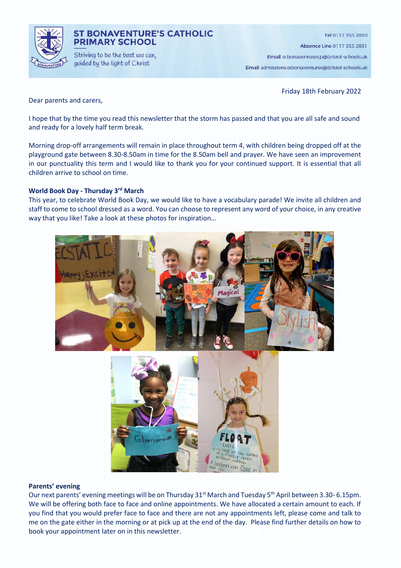

## **ST BONAVENTURE'S CATHOLIC PRIMARY SCHOOL**

Striving to be the best we can, guided by the light of Christ

Tel 0117 353 2830 Absence Line 0117 353 2831 Email st.bonaventures.p@bristol-schools.uk

Email admissions.stbonaventures@bristol-schools.uk

Friday 18th February 2022

Dear parents and carers,

I hope that by the time you read this newsletter that the storm has passed and that you are all safe and sound and ready for a lovely half term break.

Morning drop-off arrangements will remain in place throughout term 4, with children being dropped off at the playground gate between 8.30-8.50am in time for the 8.50am bell and prayer. We have seen an improvement in our punctuality this term and I would like to thank you for your continued support. It is essential that all children arrive to school on time.

#### **World Book Day - Thursday 3rd March**

This year, to celebrate World Book Day, we would like to have a vocabulary parade! We invite all children and staff to come to school dressed as a word. You can choose to represent any word of your choice, in any creative way that you like! Take a look at these photos for inspiration…



#### **Parents' evening**

Our next parents' evening meetings will be on Thursday 31<sup>st</sup> March and Tuesday 5<sup>th</sup> April between 3.30-6.15pm. We will be offering both face to face and online appointments. We have allocated a certain amount to each. If you find that you would prefer face to face and there are not any appointments left, please come and talk to me on the gate either in the morning or at pick up at the end of the day. Please find further details on how to book your appointment later on in this newsletter.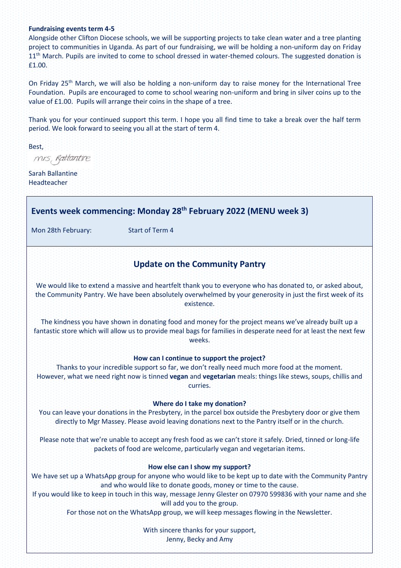#### **Fundraising events term 4-5**

Alongside other Clifton Diocese schools, we will be supporting projects to take clean water and a tree planting project to communities in Uganda. As part of our fundraising, we will be holding a non-uniform day on Friday 11<sup>th</sup> March. Pupils are invited to come to school dressed in water-themed colours. The suggested donation is £1.00.

On Friday 25<sup>th</sup> March, we will also be holding a non-uniform day to raise money for the International Tree Foundation. Pupils are encouraged to come to school wearing non-uniform and bring in silver coins up to the value of £1.00. Pupils will arrange their coins in the shape of a tree.

Thank you for your continued support this term. I hope you all find time to take a break over the half term period. We look forward to seeing you all at the start of term 4.

Best,

mis, Rattantire

Sarah Ballantine Headteacher

# **Events week commencing: Monday 28th February 2022 (MENU week 3)**

Mon 28th February: Start of Term 4

## **Update on the Community Pantry**

We would like to extend a massive and heartfelt thank you to everyone who has donated to, or asked about, the Community Pantry. We have been absolutely overwhelmed by your generosity in just the first week of its existence.

The kindness you have shown in donating food and money for the project means we've already built up a fantastic store which will allow us to provide meal bags for families in desperate need for at least the next few weeks.

#### **How can I continue to support the project?**

Thanks to your incredible support so far, we don't really need much more food at the moment. However, what we need right now is tinned **vegan** and **vegetarian** meals: things like stews, soups, chillis and curries.

#### **Where do I take my donation?**

You can leave your donations in the Presbytery, in the parcel box outside the Presbytery door or give them directly to Mgr Massey. Please avoid leaving donations next to the Pantry itself or in the church.

Please note that we're unable to accept any fresh food as we can't store it safely. Dried, tinned or long-life packets of food are welcome, particularly vegan and vegetarian items.

#### **How else can I show my support?**

We have set up a WhatsApp group for anyone who would like to be kept up to date with the Community Pantry and who would like to donate goods, money or time to the cause.

If you would like to keep in touch in this way, message Jenny Glester on 07970 599836 with your name and she will add you to the group.

For those not on the WhatsApp group, we will keep messages flowing in the Newsletter.

With sincere thanks for your support, Jenny, Becky and Amy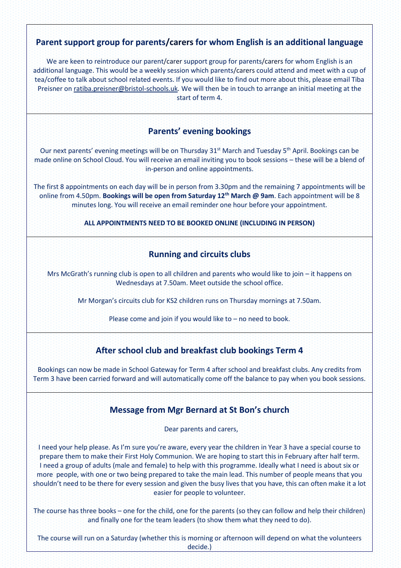# **Parent support group for parents/carers for whom English is an additional language**

We are keen to reintroduce our parent/carer support group for parents/carers for whom English is an additional language. This would be a weekly session which parents/carers could attend and meet with a cup of tea/coffee to talk about school related events. If you would like to find out more about this, please email Tiba Preisner o[n ratiba.preisner@bristol-schools.uk](mailto:ratiba.preisner@bristol-schools.uk)*.* We will then be in touch to arrange an initial meeting at the start of term 4.

# **Parents' evening bookings**

Our next parents' evening meetings will be on Thursday 31<sup>st</sup> March and Tuesday 5<sup>th</sup> April. Bookings can be made online on School Cloud. You will receive an email inviting you to book sessions – these will be a blend of in-person and online appointments.

The first 8 appointments on each day will be in person from 3.30pm and the remaining 7 appointments will be online from 4.50pm. **Bookings will be open from Saturday 12th March @ 9am**. Each appointment will be 8 minutes long. You will receive an email reminder one hour before your appointment.

### **ALL APPOINTMENTS NEED TO BE BOOKED ONLINE (INCLUDING IN PERSON)**

# **Running and circuits clubs**

Mrs McGrath's running club is open to all children and parents who would like to join – it happens on Wednesdays at 7.50am. Meet outside the school office.

Mr Morgan's circuits club for KS2 children runs on Thursday mornings at 7.50am.

Please come and join if you would like to – no need to book.

# **After school club and breakfast club bookings Term 4**

Bookings can now be made in School Gateway for Term 4 after school and breakfast clubs. Any credits from Term 3 have been carried forward and will automatically come off the balance to pay when you book sessions.

## **Message from Mgr Bernard at St Bon's church**

Dear parents and carers,

I need your help please. As I'm sure you're aware, every year the children in Year 3 have a special course to prepare them to make their First Holy Communion. We are hoping to start this in February after half term. I need a group of adults (male and female) to help with this programme. Ideally what I need is about six or more people, with one or two being prepared to take the main lead. This number of people means that you shouldn't need to be there for every session and given the busy lives that you have, this can often make it a lot easier for people to volunteer.

The course has three books – one for the child, one for the parents (so they can follow and help their children) and finally one for the team leaders (to show them what they need to do).

The course will run on a Saturday (whether this is morning or afternoon will depend on what the volunteers decide.)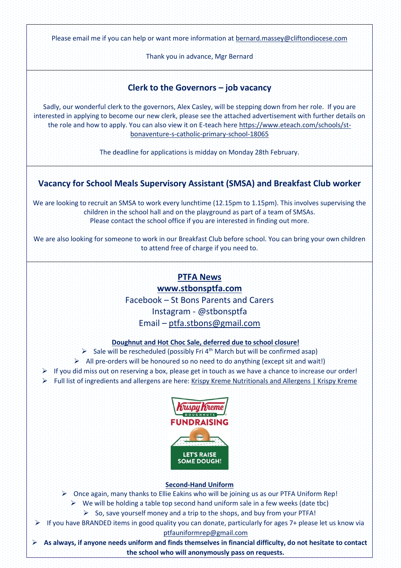Please email me if you can help or want more information at [bernard.massey@cliftondiocese.com](mailto:bernard.massey@cliftondiocese.com)

Thank you in advance, Mgr Bernard

# **Clerk to the Governors – job vacancy**

Sadly, our wonderful clerk to the governors, Alex Casley, will be stepping down from her role. If you are interested in applying to become our new clerk, please see the attached advertisement with further details on the role and how to apply. You can also view it on E-teach here [https://www.eteach.com/schools/st](https://www.eteach.com/schools/st-bonaventure-s-catholic-primary-school-18065)[bonaventure-s-catholic-primary-school-18065](https://www.eteach.com/schools/st-bonaventure-s-catholic-primary-school-18065)

The deadline for applications is midday on Monday 28th February.

# **Vacancy for School Meals Supervisory Assistant (SMSA) and Breakfast Club worker**

We are looking to recruit an SMSA to work every lunchtime (12.15pm to 1.15pm). This involves supervising the children in the school hall and on the playground as part of a team of SMSAs. Please contact the school office if you are interested in finding out more.

We are also looking for someone to work in our Breakfast Club before school. You can bring your own children to attend free of charge if you need to.

# **PTFA News**

**[www.stbonsptfa.com](file:///C:/Users/sophi/Documents/Personal/PTFA/www.stbonsptfa.com)**

Facebook – St Bons Parents and Carers Instagram - @stbonsptfa Email – [ptfa.stbons@gmail.com](mailto:ptfa.stbons@gmail.com)

### **Doughnut and Hot Choc Sale, deferred due to school closure!**

 $\triangleright$  Sale will be rescheduled (possibly Fri 4<sup>th</sup> March but will be confirmed asap)

 $\triangleright$  All pre-orders will be honoured so no need to do anything (except sit and wait!)

- $\triangleright$  If you did miss out on reserving a box, please get in touch as we have a chance to increase our order!
- ➢ Full list of ingredients and allergens are here: [Krispy Kreme Nutritionals and Allergens | Krispy Kreme](https://www.krispykreme.co.uk/nutritionals)



### **Second-Hand Uniform**

- $\triangleright$  Once again, many thanks to Ellie Eakins who will be joining us as our PTFA Uniform Rep!
	- $\triangleright$  We will be holding a table top second hand uniform sale in a few weeks (date tbc)
		- $\triangleright$  So, save yourself money and a trip to the shops, and buy from your PTFA!
- ➢ If you have BRANDED items in good quality you can donate, particularly for ages 7+ please let us know via [ptfauniformrep@gmail.com](mailto:ptfauniformrep@gmail.com)
- ➢ **As always, if anyone needs uniform and finds themselves in financial difficulty, do not hesitate to contact the school who will anonymously pass on requests.**